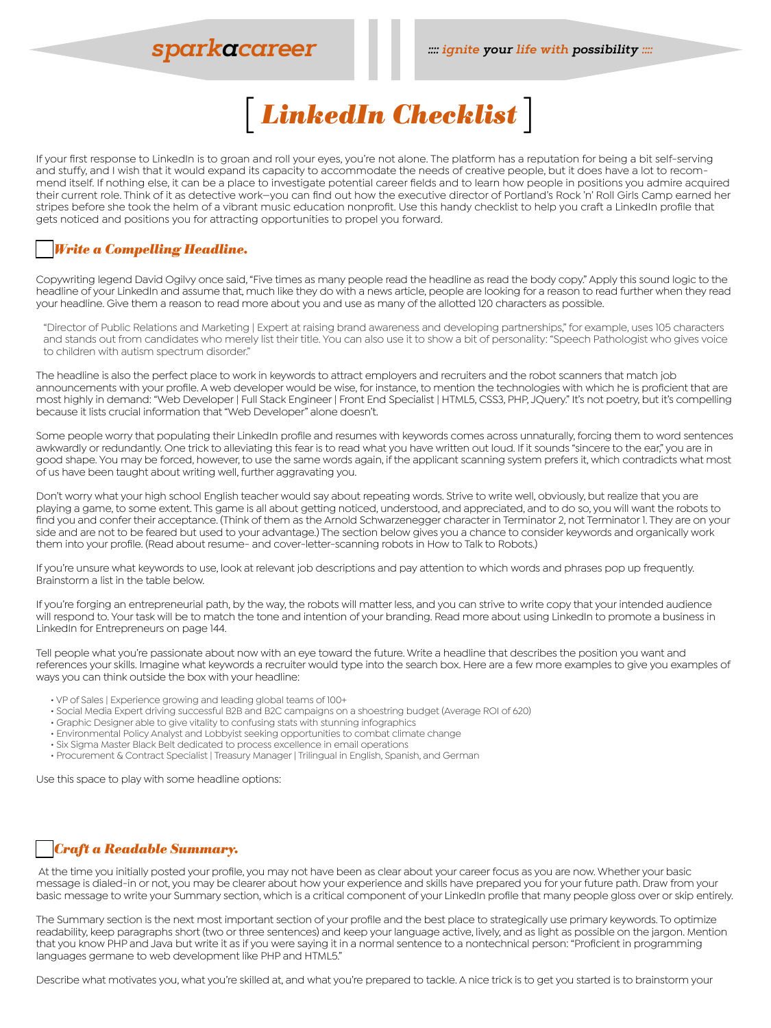# **sparkacareer**



If your first response to LinkedIn is to groan and roll your eyes, you're not alone. The platform has a reputation for being a bit self-serving and stuffy, and I wish that it would expand its capacity to accommodate the needs of creative people, but it does have a lot to recommend itself. If nothing else, it can be a place to investigate potential career fields and to learn how people in positions you admire acquired their current role. Think of it as detective work—you can find out how the executive director of Portland's Rock 'n' Roll Girls Camp earned her stripes before she took the helm of a vibrant music education nonprofit. Use this handy checklist to help you craft a LinkedIn profile that gets noticed and positions you for attracting opportunities to propel you forward.

## o*Write a Compelling Headline.*

Copywriting legend David Ogilvy once said, "Five times as many people read the headline as read the body copy." Apply this sound logic to the headline of your LinkedIn and assume that, much like they do with a news article, people are looking for a reason to read further when they read your headline. Give them a reason to read more about you and use as many of the allotted 120 characters as possible.

"Director of Public Relations and Marketing | Expert at raising brand awareness and developing partnerships," for example, uses 105 characters and stands out from candidates who merely list their title. You can also use it to show a bit of personality: "Speech Pathologist who gives voice to children with autism spectrum disorder."

The headline is also the perfect place to work in keywords to attract employers and recruiters and the robot scanners that match job announcements with your profile. A web developer would be wise, for instance, to mention the technologies with which he is proficient that are most highly in demand: "Web Developer | Full Stack Engineer | Front End Specialist | HTML5, CSS3, PHP, JQuery." It's not poetry, but it's compelling because it lists crucial information that "Web Developer" alone doesn't.

Some people worry that populating their LinkedIn profile and resumes with keywords comes across unnaturally, forcing them to word sentences awkwardly or redundantly. One trick to alleviating this fear is to read what you have written out loud. If it sounds "sincere to the ear," you are in good shape. You may be forced, however, to use the same words again, if the applicant scanning system prefers it, which contradicts what most of us have been taught about writing well, further aggravating you.

Don't worry what your high school English teacher would say about repeating words. Strive to write well, obviously, but realize that you are playing a game, to some extent. This game is all about getting noticed, understood, and appreciated, and to do so, you will want the robots to find you and confer their acceptance. (Think of them as the Arnold Schwarzenegger character in Terminator 2, not Terminator 1. They are on your side and are not to be feared but used to your advantage.) The section below gives you a chance to consider keywords and organically work them into your profile. (Read about resume- and cover-letter-scanning robots in How to Talk to Robots.)

If you're unsure what keywords to use, look at relevant job descriptions and pay attention to which words and phrases pop up frequently. Brainstorm a list in the table below.

If you're forging an entrepreneurial path, by the way, the robots will matter less, and you can strive to write copy that your intended audience will respond to. Your task will be to match the tone and intention of your branding. Read more about using LinkedIn to promote a business in LinkedIn for Entrepreneurs on page 144.

Tell people what you're passionate about now with an eye toward the future. Write a headline that describes the position you want and references your skills. Imagine what keywords a recruiter would type into the search box. Here are a few more examples to give you examples of ways you can think outside the box with your headline:

- VP of Sales | Experience growing and leading global teams of 100+
- Social Media Expert driving successful B2B and B2C campaigns on a shoestring budget (Average ROI of 620)
- Graphic Designer able to give vitality to confusing stats with stunning infographics
- Environmental Policy Analyst and Lobbyist seeking opportunities to combat climate change
- Six Sigma Master Black Belt dedicated to process excellence in email operations
- Procurement & Contract Specialist | Treasury Manager | Trilingual in English, Spanish, and German

Use this space to play with some headline options:

# o*Craft a Readable Summary.*

 At the time you initially posted your profile, you may not have been as clear about your career focus as you are now. Whether your basic message is dialed-in or not, you may be clearer about how your experience and skills have prepared you for your future path. Draw from your basic message to write your Summary section, which is a critical component of your LinkedIn profile that many people gloss over or skip entirely.

The Summary section is the next most important section of your profile and the best place to strategically use primary keywords. To optimize readability, keep paragraphs short (two or three sentences) and keep your language active, lively, and as light as possible on the jargon. Mention that you know PHP and Java but write it as if you were saying it in a normal sentence to a nontechnical person: "Proficient in programming languages germane to web development like PHP and HTML5."

Describe what motivates you, what you're skilled at, and what you're prepared to tackle. A nice trick is to get you started is to brainstorm your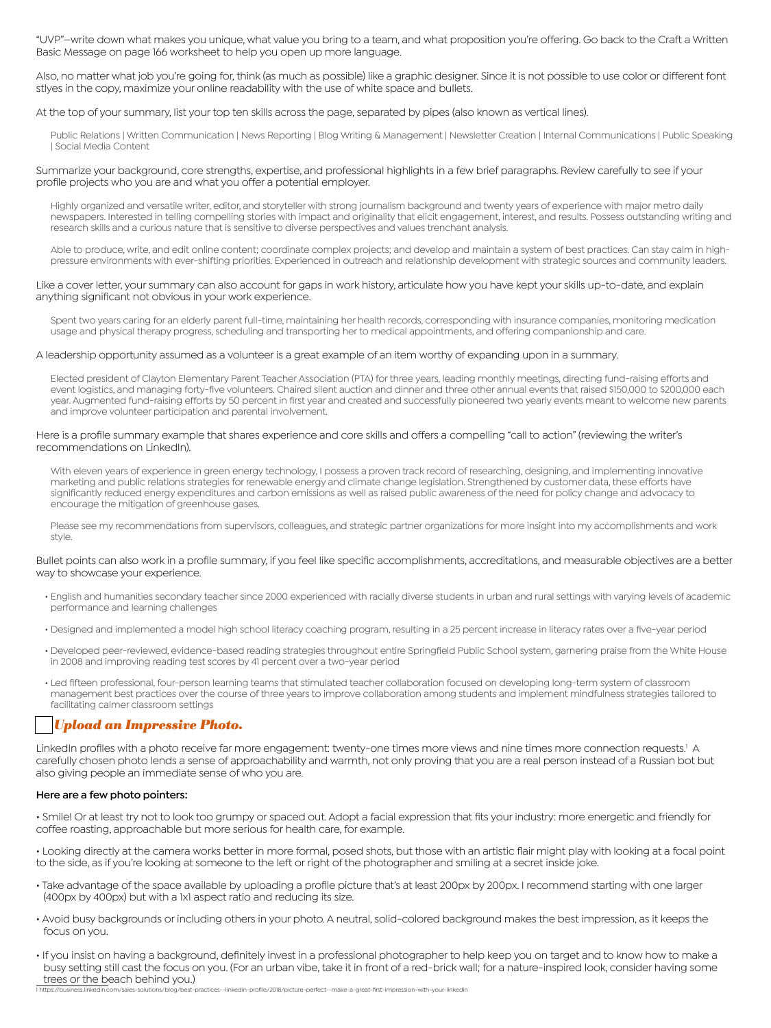"UVP"—write down what makes you unique, what value you bring to a team, and what proposition you're offering. Go back to the Craft a Written Basic Message on page 166 worksheet to help you open up more language.

Also, no matter what job you're going for, think (as much as possible) like a graphic designer. Since it is not possible to use color or different font stlyes in the copy, maximize your online readability with the use of white space and bullets.

At the top of your summary, list your top ten skills across the page, separated by pipes (also known as vertical lines).

Public Relations | Written Communication | News Reporting | Blog Writing & Management | Newsletter Creation | Internal Communications | Public Speaking | Social Media Content

Summarize your background, core strengths, expertise, and professional highlights in a few brief paragraphs. Review carefully to see if your profile projects who you are and what you offer a potential employer.

Highly organized and versatile writer, editor, and storyteller with strong journalism background and twenty years of experience with major metro daily newspapers. Interested in telling compelling stories with impact and originality that elicit engagement, interest, and results. Possess outstanding writing and research skills and a curious nature that is sensitive to diverse perspectives and values trenchant analysis.

Able to produce, write, and edit online content; coordinate complex projects; and develop and maintain a system of best practices. Can stay calm in highpressure environments with ever-shifting priorities. Experienced in outreach and relationship development with strategic sources and community leaders.

Like a cover letter, your summary can also account for gaps in work history, articulate how you have kept your skills up-to-date, and explain anything significant not obvious in your work experience.

Spent two years caring for an elderly parent full-time, maintaining her health records, corresponding with insurance companies, monitoring medication usage and physical therapy progress, scheduling and transporting her to medical appointments, and offering companionship and care.

A leadership opportunity assumed as a volunteer is a great example of an item worthy of expanding upon in a summary.

Elected president of Clayton Elementary Parent Teacher Association (PTA) for three years, leading monthly meetings, directing fund-raising efforts and event logistics, and managing forty-five volunteers. Chaired silent auction and dinner and three other annual events that raised \$150,000 to \$200,000 each year. Augmented fund-raising efforts by 50 percent in first year and created and successfully pioneered two yearly events meant to welcome new parents and improve volunteer participation and parental involvement.

Here is a profile summary example that shares experience and core skills and offers a compelling "call to action" (reviewing the writer's recommendations on LinkedIn).

With eleven years of experience in green energy technology, I possess a proven track record of researching, designing, and implementing innovative marketing and public relations strategies for renewable energy and climate change legislation. Strengthened by customer data, these efforts have significantly reduced energy expenditures and carbon emissions as well as raised public awareness of the need for policy change and advocacy to encourage the mitigation of greenhouse gases.

Please see my recommendations from supervisors, colleagues, and strategic partner organizations for more insight into my accomplishments and work style.

Bullet points can also work in a profile summary, if you feel like specific accomplishments, accreditations, and measurable objectives are a better way to showcase your experience.

- English and humanities secondary teacher since 2000 experienced with racially diverse students in urban and rural settings with varying levels of academic performance and learning challenges
- Designed and implemented a model high school literacy coaching program, resulting in a 25 percent increase in literacy rates over a five-year period
- Developed peer-reviewed, evidence-based reading strategies throughout entire Springfield Public School system, garnering praise from the White House in 2008 and improving reading test scores by 41 percent over a two-year period
- Led fifteen professional, four-person learning teams that stimulated teacher collaboration focused on developing long-term system of classroom management best practices over the course of three years to improve collaboration among students and implement mindfulness strategies tailored to facilitating calmer classroom settings

### o*Upload an Impressive Photo.*

LinkedIn profiles with a photo receive far more engagement: twenty-one times more views and nine times more connection requests.<sup>1</sup> A carefully chosen photo lends a sense of approachability and warmth, not only proving that you are a real person instead of a Russian bot but also giving people an immediate sense of who you are.

#### **Here are a few photo pointers:**

• Smile! Or at least try not to look too grumpy or spaced out. Adopt a facial expression that fits your industry: more energetic and friendly for coffee roasting, approachable but more serious for health care, for example.

• Looking directly at the camera works better in more formal, posed shots, but those with an artistic flair might play with looking at a focal point to the side, as if you're looking at someone to the left or right of the photographer and smiling at a secret inside joke.

- Take advantage of the space available by uploading a profile picture that's at least 200px by 200px. I recommend starting with one larger (400px by 400px) but with a 1x1 aspect ratio and reducing its size.
- Avoid busy backgrounds or including others in your photo. A neutral, solid-colored background makes the best impression, as it keeps the focus on you.
- If you insist on having a background, definitely invest in a professional photographer to help keep you on target and to know how to make a busy setting still cast the focus on you. (For an urban vibe, take it in front of a red-brick wall; for a nature-inspired look, consider having some trees or the beach behind you.) y/best-practices--linkedin-profile/2018/picture-perfect--make-a-great-first-impression-with-your-linkedin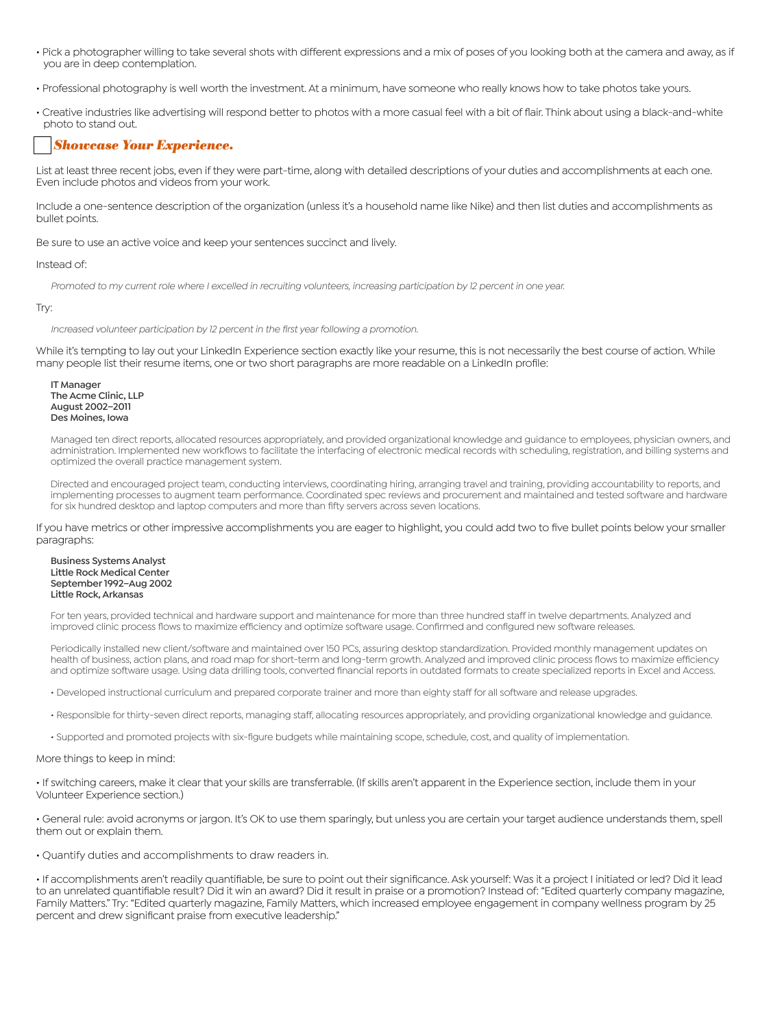- Pick a photographer willing to take several shots with different expressions and a mix of poses of you looking both at the camera and away, as if you are in deep contemplation.
- Professional photography is well worth the investment. At a minimum, have someone who really knows how to take photos take yours.
- Creative industries like advertising will respond better to photos with a more casual feel with a bit of flair. Think about using a black-and-white photo to stand out.

### o*Showcase Your Experience.*

List at least three recent jobs, even if they were part-time, along with detailed descriptions of your duties and accomplishments at each one. Even include photos and videos from your work.

Include a one-sentence description of the organization (unless it's a household name like Nike) and then list duties and accomplishments as bullet points.

Be sure to use an active voice and keep your sentences succinct and lively.

Instead of:

*Promoted to my current role where I excelled in recruiting volunteers, increasing participation by 12 percent in one year.*

#### Try:

Increased volunteer participation by 12 percent in the first year following a promotion.

While it's tempting to lay out your LinkedIn Experience section exactly like your resume, this is not necessarily the best course of action. While many people list their resume items, one or two short paragraphs are more readable on a LinkedIn profile:

**IT Manager The Acme Clinic, LLP August 2002–2011 Des Moines, Iowa** 

Managed ten direct reports, allocated resources appropriately, and provided organizational knowledge and guidance to employees, physician owners, and administration. Implemented new workflows to facilitate the interfacing of electronic medical records with scheduling, registration, and billing systems and optimized the overall practice management system.

Directed and encouraged project team, conducting interviews, coordinating hiring, arranging travel and training, providing accountability to reports, and implementing processes to augment team performance. Coordinated spec reviews and procurement and maintained and tested software and hardware for six hundred desktop and laptop computers and more than fifty servers across seven locations.

If you have metrics or other impressive accomplishments you are eager to highlight, you could add two to five bullet points below your smaller paragraphs:

**Business Systems Analyst Little Rock Medical Center September 1992–Aug 2002 Little Rock, Arkansas** 

For ten years, provided technical and hardware support and maintenance for more than three hundred staff in twelve departments. Analyzed and improved clinic process flows to maximize efficiency and optimize software usage. Confirmed and configured new software releases.

Periodically installed new client/software and maintained over 150 PCs, assuring desktop standardization. Provided monthly management updates on health of business, action plans, and road map for short-term and long-term growth. Analyzed and improved clinic process flows to maximize efficiency and optimize software usage. Using data drilling tools, converted financial reports in outdated formats to create specialized reports in Excel and Access.

- Developed instructional curriculum and prepared corporate trainer and more than eighty staff for all software and release upgrades.
- Responsible for thirty-seven direct reports, managing staff, allocating resources appropriately, and providing organizational knowledge and guidance.
- Supported and promoted projects with six-figure budgets while maintaining scope, schedule, cost, and quality of implementation.

#### More things to keep in mind:

• If switching careers, make it clear that your skills are transferrable. (If skills aren't apparent in the Experience section, include them in your Volunteer Experience section.)

• General rule: avoid acronyms or jargon. It's OK to use them sparingly, but unless you are certain your target audience understands them, spell them out or explain them.

• Quantify duties and accomplishments to draw readers in.

• If accomplishments aren't readily quantifiable, be sure to point out their significance. Ask yourself: Was it a project I initiated or led? Did it lead to an unrelated quantifiable result? Did it win an award? Did it result in praise or a promotion? Instead of: "Edited quarterly company magazine, Family Matters." Try: "Edited quarterly magazine, Family Matters, which increased employee engagement in company wellness program by 25 percent and drew significant praise from executive leadership."